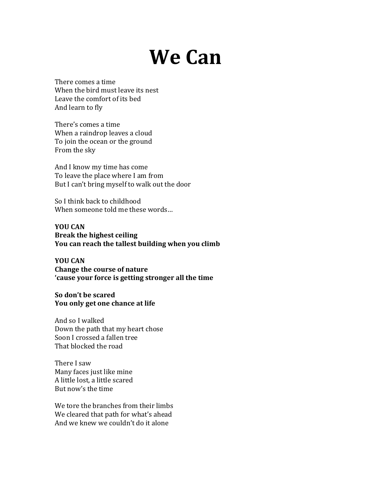## **We Can**

There comes a time When the bird must leave its nest Leave the comfort of its bed And learn to fly

There's comes a time When a raindrop leaves a cloud To join the ocean or the ground From the sky

And I know my time has come To leave the place where I am from But I can't bring myself to walk out the door

So I think back to childhood When someone told me these words...

**YOU CAN Break the highest ceiling You can reach the tallest building when you climb** 

**YOU CAN Change the course of nature** 'cause your force is getting stronger all the time

**So don't be scared**  You only get one chance at life

And so I walked Down the path that my heart chose Soon I crossed a fallen tree That blocked the road

There I saw Many faces just like mine A little lost, a little scared But now's the time

We tore the branches from their limbs We cleared that path for what's ahead And we knew we couldn't do it alone